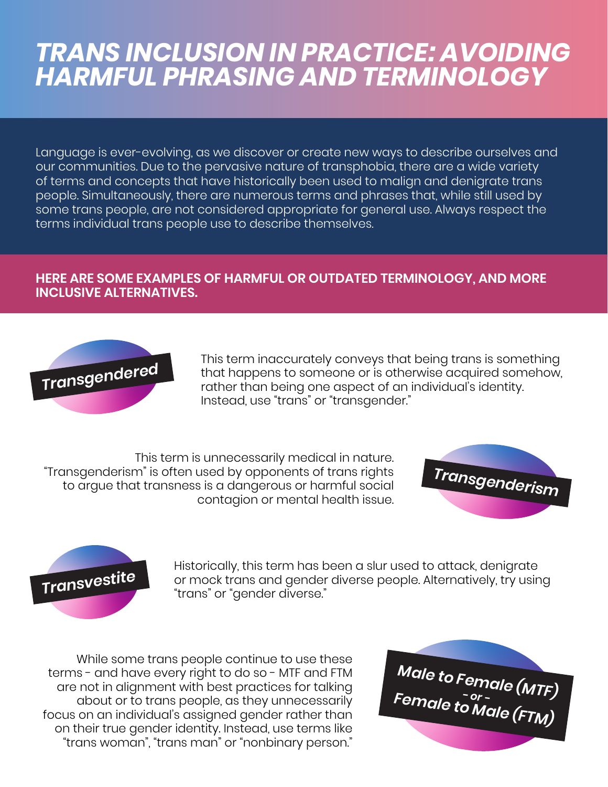## *TRANS INCLUSION IN PRACTICE: AVOIDING HARMFUL PHRASING AND TERMINOLOGY*

Language is ever-evolving, as we discover or create new ways to describe ourselves and our communities. Due to the pervasive nature of transphobia, there are a wide variety of terms and concepts that have historically been used to malign and denigrate trans people. Simultaneously, there are numerous terms and phrases that, while still used by some trans people, are not considered appropriate for general use. Always respect the terms individual trans people use to describe themselves.

## **HERE ARE SOME EXAMPLES OF HARMFUL OR OUTDATED TERMINOLOGY, AND MORE INCLUSIVE ALTERNATIVES.**



This term inaccurately conveys that being trans is something<br>**Transgendered** that happens to someone or is otherwise acquired somehow,<br>rather than being one aspect of an individual's identity that happens to someone or is otherwise acquired somehow, rather than being one aspect of an individual's identity. Instead, use "trans" or "transgender."

This term is unnecessarily medical in nature. "Transgenderism" is often used by opponents of trans rights to argue that transness is a dangerous or harmful social contagion or mental health issue.





Historically, this term has been a slur used to attack, denigrate<br>Transvestite or mock trans and gender diverse people. Alternatively, try using "trans" or "gender diverse."

While some trans people continue to use these terms - and have every right to do so - MTF and FTM are not in alignment with best practices for talking about or to trans people, as they unnecessarily focus on an individual's assigned gender rather than on their true gender identity. Instead, use terms like "trans woman", "trans man" or "nonbinary person."

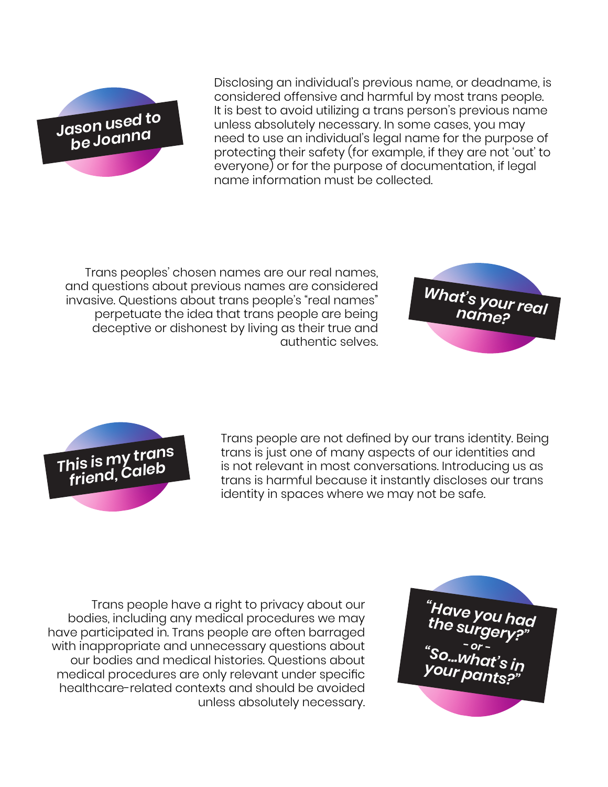

Disclosing an individual's previous name, or deadname, is considered offensive and harmful by most trans people. It is best to avoid utilizing a trans person's previous name unless absolutely necessary. In some cases, you may need to use an individual's legal name for the purpose of protecting their safety (for example, if they are not 'out' to everyone) or for the purpose of documentation, if legal name information must be collected.

Trans peoples' chosen names are our real names, and questions about previous names are considered invasive. Questions about trans people's "real names" perpetuate the idea that trans people are being deceptive or dishonest by living as their true and authentic selves.





Trans people are not defined by our trans identity. Being trans is just one of many aspects of our identities and is not relevant in most conversations. Introducing us as trans is harmful because it instantly discloses our trans identity in spaces where we may not be safe.

Trans people have a right to privacy about our bodies, including any medical procedures we may have participated in. Trans people are often barraged with inappropriate and unnecessary questions about our bodies and medical histories. Questions about medical procedures are only relevant under specific healthcare-related contexts and should be avoided unless absolutely necessary.